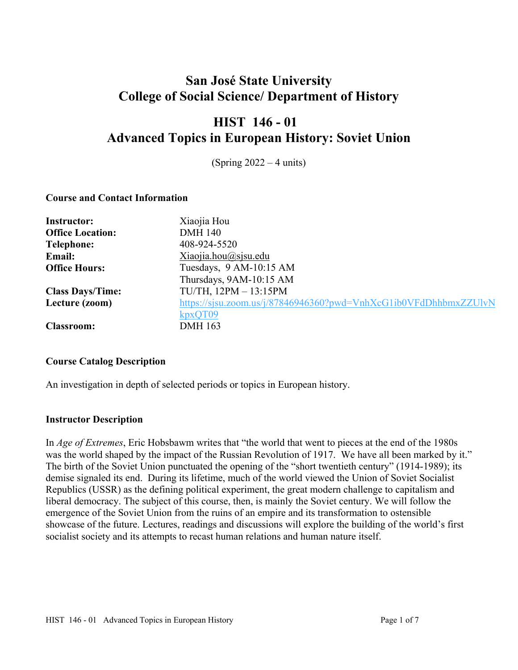# **San José State University College of Social Science/ Department of History**

# **HIST 146 - 01 Advanced Topics in European History: Soviet Union**

(Spring 2022 – 4 units)

# **Course and Contact Information**

| <b>Instructor:</b>      | Xiaojia Hou                                                      |
|-------------------------|------------------------------------------------------------------|
| <b>Office Location:</b> | <b>DMH 140</b>                                                   |
| Telephone:              | 408-924-5520                                                     |
| <b>Email:</b>           | Xiaojia.hou@sjsu.edu                                             |
| <b>Office Hours:</b>    | Tuesdays, 9 AM-10:15 AM                                          |
|                         | Thursdays, 9AM-10:15 AM                                          |
| <b>Class Days/Time:</b> | TU/TH, $12PM - 13:15PM$                                          |
| Lecture (zoom)          | https://sjsu.zoom.us/j/87846946360?pwd=VnhXcG1ib0VFdDhhbmxZZUlvN |
|                         | kpxQT09                                                          |
| <b>Classroom:</b>       | <b>DMH</b> 163                                                   |

#### **Course Catalog Description**

An investigation in depth of selected periods or topics in European history.

# **Instructor Description**

In *Age of Extremes*, Eric Hobsbawm writes that "the world that went to pieces at the end of the 1980s was the world shaped by the impact of the Russian Revolution of 1917. We have all been marked by it." The birth of the Soviet Union punctuated the opening of the "short twentieth century" (1914-1989); its demise signaled its end. During its lifetime, much of the world viewed the Union of Soviet Socialist Republics (USSR) as the defining political experiment, the great modern challenge to capitalism and liberal democracy. The subject of this course, then, is mainly the Soviet century. We will follow the emergence of the Soviet Union from the ruins of an empire and its transformation to ostensible showcase of the future. Lectures, readings and discussions will explore the building of the world's first socialist society and its attempts to recast human relations and human nature itself.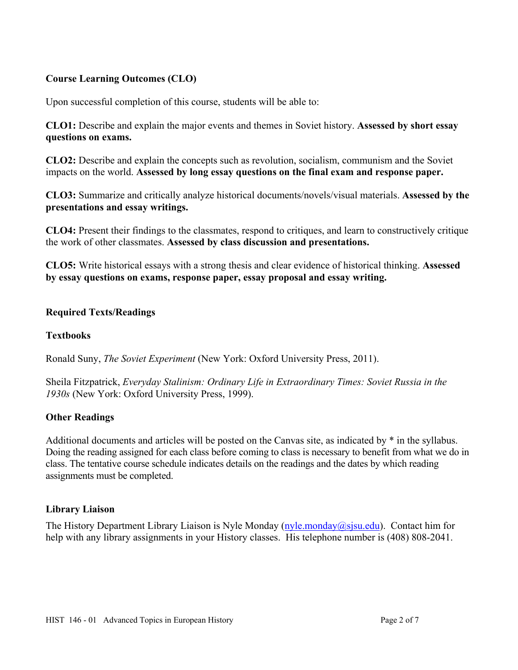# **Course Learning Outcomes (CLO)**

Upon successful completion of this course, students will be able to:

**CLO1:** Describe and explain the major events and themes in Soviet history. **Assessed by short essay questions on exams.** 

**CLO2:** Describe and explain the concepts such as revolution, socialism, communism and the Soviet impacts on the world. **Assessed by long essay questions on the final exam and response paper.** 

**CLO3:** Summarize and critically analyze historical documents/novels/visual materials. **Assessed by the presentations and essay writings.** 

**CLO4:** Present their findings to the classmates, respond to critiques, and learn to constructively critique the work of other classmates. **Assessed by class discussion and presentations.** 

**CLO5:** Write historical essays with a strong thesis and clear evidence of historical thinking. **Assessed by essay questions on exams, response paper, essay proposal and essay writing.** 

# **Required Texts/Readings**

### **Textbooks**

Ronald Suny, *The Soviet Experiment* (New York: Oxford University Press, 2011).

Sheila Fitzpatrick, *Everyday Stalinism: Ordinary Life in Extraordinary Times: Soviet Russia in the 1930s* (New York: Oxford University Press, 1999).

#### **Other Readings**

Additional documents and articles will be posted on the Canvas site, as indicated by \* in the syllabus. Doing the reading assigned for each class before coming to class is necessary to benefit from what we do in class. The tentative course schedule indicates details on the readings and the dates by which reading assignments must be completed.

#### **Library Liaison**

The History Department Library Liaison is Nyle Monday (nyle.monday@sjsu.edu). Contact him for help with any library assignments in your History classes. His telephone number is (408) 808-2041.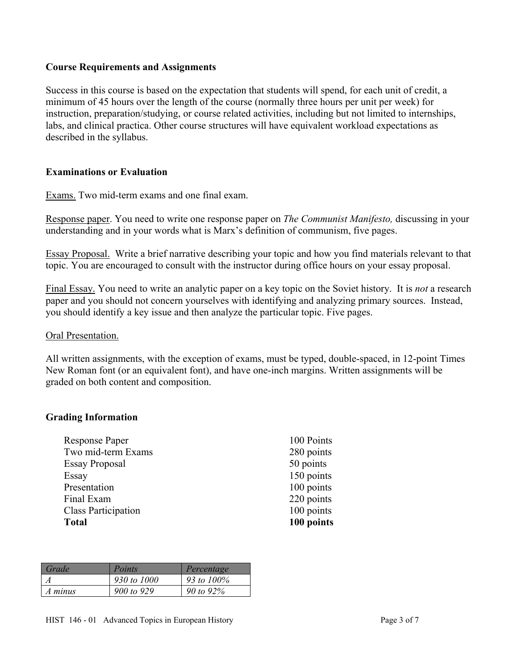# **Course Requirements and Assignments**

Success in this course is based on the expectation that students will spend, for each unit of credit, a minimum of 45 hours over the length of the course (normally three hours per unit per week) for instruction, preparation/studying, or course related activities, including but not limited to internships, labs, and clinical practica. Other course structures will have equivalent workload expectations as described in the syllabus.

# **Examinations or Evaluation**

Exams. Two mid-term exams and one final exam.

Response paper. You need to write one response paper on *The Communist Manifesto,* discussing in your understanding and in your words what is Marx's definition of communism, five pages.

Essay Proposal. Write a brief narrative describing your topic and how you find materials relevant to that topic. You are encouraged to consult with the instructor during office hours on your essay proposal.

Final Essay. You need to write an analytic paper on a key topic on the Soviet history. It is *not* a research paper and you should not concern yourselves with identifying and analyzing primary sources. Instead, you should identify a key issue and then analyze the particular topic. Five pages.

#### Oral Presentation.

All written assignments, with the exception of exams, must be typed, double-spaced, in 12-point Times New Roman font (or an equivalent font), and have one-inch margins. Written assignments will be graded on both content and composition.

#### **Grading Information**

| <b>Response Paper</b>      |
|----------------------------|
| Two mid-term Exams         |
| <b>Essay Proposal</b>      |
| Essay                      |
| Presentation               |
| Final Exam                 |
| <b>Class Participation</b> |
| <b>Total</b>               |

100 Points 280 points 50 points 150 points 100 points 220 points  $100$  points 100 points

| Grade   | Points      | Percentage   |
|---------|-------------|--------------|
|         | 930 to 1000 | 93 to 100%   |
| A minus | 900 to 929  | 90 to $92\%$ |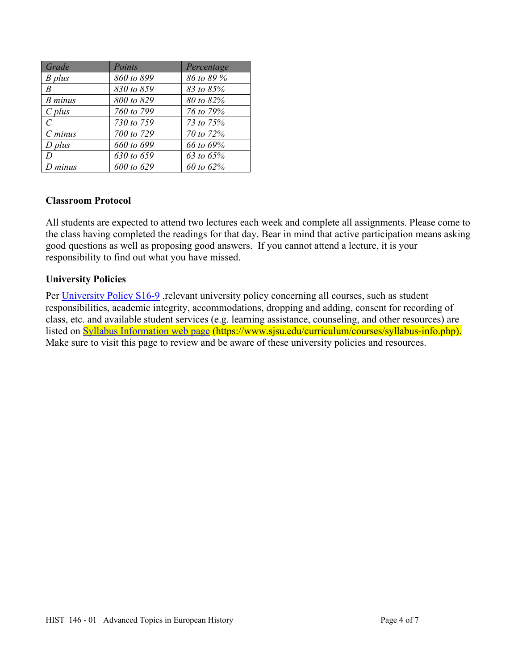| Grade     | Points     | Percentage |
|-----------|------------|------------|
| $B$ plus  | 860 to 899 | 86 to 89 % |
| R         | 830 to 859 | 83 to 85%  |
| B minus   | 800 to 829 | 80 to 82%  |
| $C$ plus  | 760 to 799 | 76 to 79%  |
| C         | 730 to 759 | 73 to 75%  |
| $C$ minus | 700 to 729 | 70 to 72%  |
| $D$ plus  | 660 to 699 | 66 to 69%  |
| D         | 630 to 659 | 63 to 65%  |
| $D$ minus | 600 to 629 | 60 to 62%  |

#### **Classroom Protocol**

All students are expected to attend two lectures each week and complete all assignments. Please come to the class having completed the readings for that day. Bear in mind that active participation means asking good questions as well as proposing good answers. If you cannot attend a lecture, it is your responsibility to find out what you have missed.

# **University Policies**

Per University Policy S16-9, relevant university policy concerning all courses, such as student responsibilities, academic integrity, accommodations, dropping and adding, consent for recording of class, etc. and available student services (e.g. learning assistance, counseling, and other resources) are listed on Syllabus Information web page (https://www.sjsu.edu/curriculum/courses/syllabus-info.php). Make sure to visit this page to review and be aware of these university policies and resources.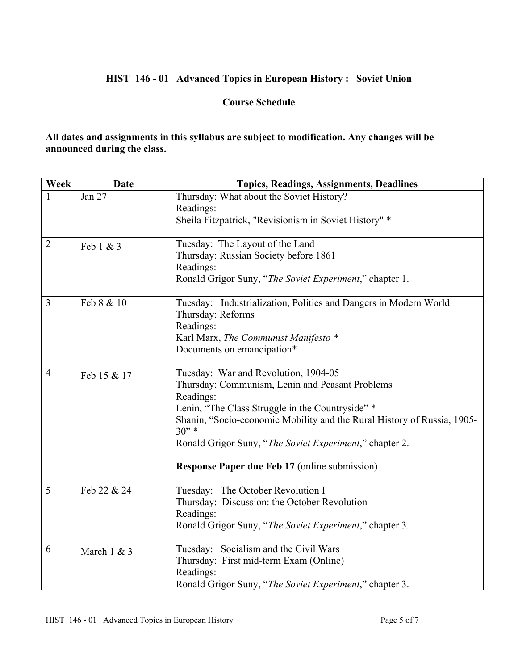# **HIST 146 - 01 Advanced Topics in European History : Soviet Union**

# **Course Schedule**

**All dates and assignments in this syllabus are subject to modification. Any changes will be announced during the class.** 

| Week           | <b>Date</b> | <b>Topics, Readings, Assignments, Deadlines</b>                          |
|----------------|-------------|--------------------------------------------------------------------------|
| 1              | Jan 27      | Thursday: What about the Soviet History?                                 |
|                |             | Readings:                                                                |
|                |             | Sheila Fitzpatrick, "Revisionism in Soviet History" *                    |
| $\overline{2}$ |             |                                                                          |
|                | Feb 1 & 3   | Tuesday: The Layout of the Land<br>Thursday: Russian Society before 1861 |
|                |             |                                                                          |
|                |             | Readings:<br>Ronald Grigor Suny, "The Soviet Experiment," chapter 1.     |
|                |             |                                                                          |
| $\overline{3}$ | Feb 8 & 10  | Tuesday: Industrialization, Politics and Dangers in Modern World         |
|                |             | Thursday: Reforms                                                        |
|                |             | Readings:                                                                |
|                |             | Karl Marx, The Communist Manifesto *                                     |
|                |             | Documents on emancipation*                                               |
| $\overline{4}$ |             | Tuesday: War and Revolution, 1904-05                                     |
|                | Feb 15 & 17 | Thursday: Communism, Lenin and Peasant Problems                          |
|                |             | Readings:                                                                |
|                |             | Lenin, "The Class Struggle in the Countryside" *                         |
|                |             | Shanin, "Socio-economic Mobility and the Rural History of Russia, 1905-  |
|                |             | $30"$ *                                                                  |
|                |             | Ronald Grigor Suny, "The Soviet Experiment," chapter 2.                  |
|                |             | Response Paper due Feb 17 (online submission)                            |
|                |             |                                                                          |
| 5              | Feb 22 & 24 | Tuesday: The October Revolution I                                        |
|                |             | Thursday: Discussion: the October Revolution                             |
|                |             | Readings:                                                                |
|                |             | Ronald Grigor Suny, "The Soviet Experiment," chapter 3.                  |
| 6              | March 1 & 3 | Tuesday: Socialism and the Civil Wars                                    |
|                |             | Thursday: First mid-term Exam (Online)                                   |
|                |             | Readings:                                                                |
|                |             | Ronald Grigor Suny, "The Soviet Experiment," chapter 3.                  |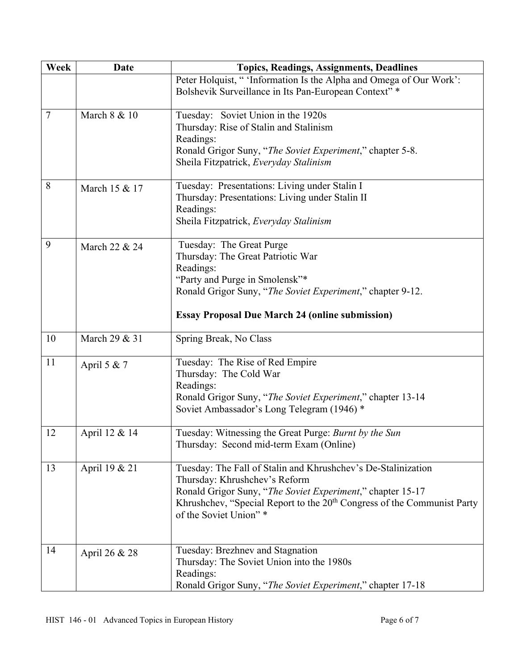| Week           | <b>Date</b>   | <b>Topics, Readings, Assignments, Deadlines</b>                                     |  |
|----------------|---------------|-------------------------------------------------------------------------------------|--|
|                |               | Peter Holquist, "'Information Is the Alpha and Omega of Our Work':                  |  |
|                |               | Bolshevik Surveillance in Its Pan-European Context"*                                |  |
|                |               |                                                                                     |  |
| $\overline{7}$ | March 8 & 10  | Tuesday: Soviet Union in the 1920s                                                  |  |
|                |               | Thursday: Rise of Stalin and Stalinism                                              |  |
|                |               | Readings:                                                                           |  |
|                |               | Ronald Grigor Suny, "The Soviet Experiment," chapter 5-8.                           |  |
|                |               | Sheila Fitzpatrick, Everyday Stalinism                                              |  |
| 8              | March 15 & 17 | Tuesday: Presentations: Living under Stalin I                                       |  |
|                |               | Thursday: Presentations: Living under Stalin II                                     |  |
|                |               | Readings:                                                                           |  |
|                |               | Sheila Fitzpatrick, Everyday Stalinism                                              |  |
|                |               |                                                                                     |  |
| 9              | March 22 & 24 | Tuesday: The Great Purge                                                            |  |
|                |               | Thursday: The Great Patriotic War                                                   |  |
|                |               | Readings:                                                                           |  |
|                |               | "Party and Purge in Smolensk"*                                                      |  |
|                |               | Ronald Grigor Suny, "The Soviet Experiment," chapter 9-12.                          |  |
|                |               | <b>Essay Proposal Due March 24 (online submission)</b>                              |  |
| 10             | March 29 & 31 | Spring Break, No Class                                                              |  |
| 11             | April 5 & 7   | Tuesday: The Rise of Red Empire                                                     |  |
|                |               | Thursday: The Cold War                                                              |  |
|                |               | Readings:                                                                           |  |
|                |               | Ronald Grigor Suny, "The Soviet Experiment," chapter 13-14                          |  |
|                |               | Soviet Ambassador's Long Telegram (1946) *                                          |  |
| 12             | April 12 & 14 | Tuesday: Witnessing the Great Purge: Burnt by the Sun                               |  |
|                |               | Thursday: Second mid-term Exam (Online)                                             |  |
|                |               |                                                                                     |  |
| 13             | April 19 & 21 | Tuesday: The Fall of Stalin and Khrushchev's De-Stalinization                       |  |
|                |               | Thursday: Khrushchev's Reform                                                       |  |
|                |               | Ronald Grigor Suny, "The Soviet Experiment," chapter 15-17                          |  |
|                |               | Khrushchev, "Special Report to the 20 <sup>th</sup> Congress of the Communist Party |  |
|                |               | of the Soviet Union"*                                                               |  |
|                |               |                                                                                     |  |
| 14             | April 26 & 28 | Tuesday: Brezhnev and Stagnation                                                    |  |
|                |               | Thursday: The Soviet Union into the 1980s                                           |  |
|                |               | Readings:                                                                           |  |
|                |               | Ronald Grigor Suny, "The Soviet Experiment," chapter 17-18                          |  |